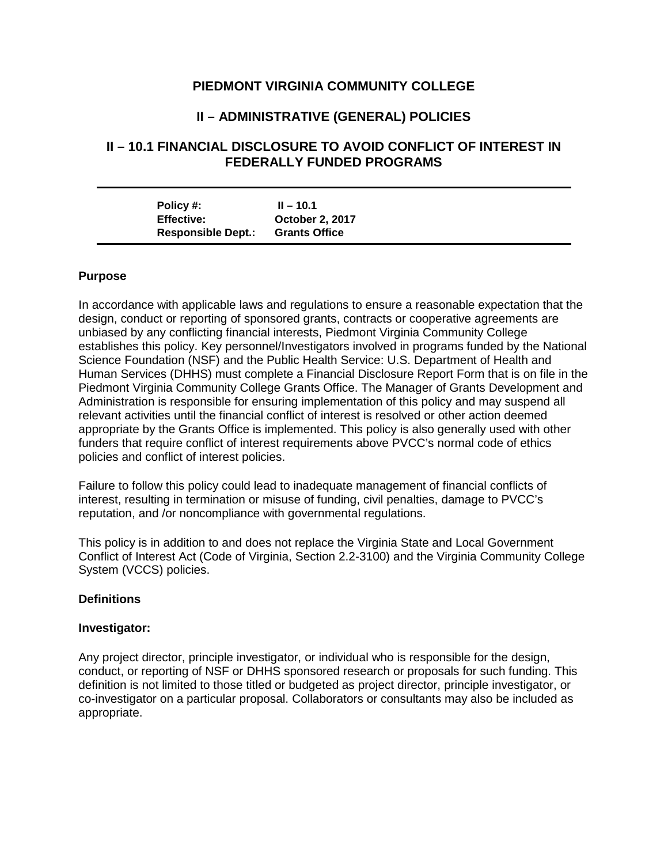# **PIEDMONT VIRGINIA COMMUNITY COLLEGE**

# **II – ADMINISTRATIVE (GENERAL) POLICIES**

# **II – 10.1 FINANCIAL DISCLOSURE TO AVOID CONFLICT OF INTEREST IN FEDERALLY FUNDED PROGRAMS**

| Policy #:         |                           | $II - 10.1$            |
|-------------------|---------------------------|------------------------|
| <b>Effective:</b> |                           | <b>October 2, 2017</b> |
|                   | <b>Responsible Dept.:</b> | <b>Grants Office</b>   |

#### **Purpose**

In accordance with applicable laws and regulations to ensure a reasonable expectation that the design, conduct or reporting of sponsored grants, contracts or cooperative agreements are unbiased by any conflicting financial interests, Piedmont Virginia Community College establishes this policy. Key personnel/Investigators involved in programs funded by the National Science Foundation (NSF) and the Public Health Service: U.S. Department of Health and Human Services (DHHS) must complete a Financial Disclosure Report Form that is on file in the Piedmont Virginia Community College Grants Office. The Manager of Grants Development and Administration is responsible for ensuring implementation of this policy and may suspend all relevant activities until the financial conflict of interest is resolved or other action deemed appropriate by the Grants Office is implemented. This policy is also generally used with other funders that require conflict of interest requirements above PVCC's normal code of ethics policies and conflict of interest policies.

Failure to follow this policy could lead to inadequate management of financial conflicts of interest, resulting in termination or misuse of funding, civil penalties, damage to PVCC's reputation, and /or noncompliance with governmental regulations.

This policy is in addition to and does not replace the Virginia State and Local Government Conflict of Interest Act (Code of Virginia, Section 2.2-3100) and the Virginia Community College System (VCCS) policies.

#### **Definitions**

#### **Investigator:**

Any project director, principle investigator, or individual who is responsible for the design, conduct, or reporting of NSF or DHHS sponsored research or proposals for such funding. This definition is not limited to those titled or budgeted as project director, principle investigator, or co-investigator on a particular proposal. Collaborators or consultants may also be included as appropriate.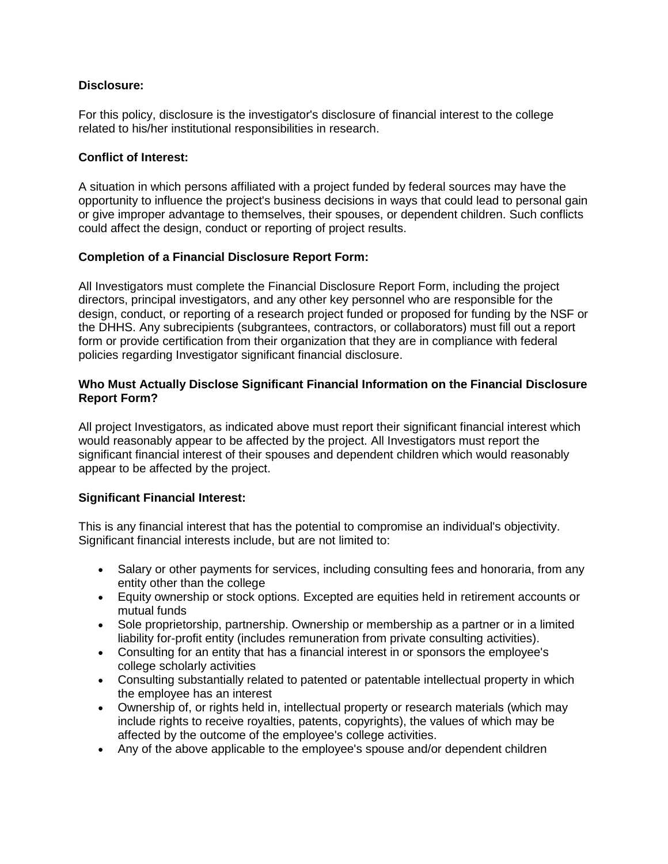### **Disclosure:**

For this policy, disclosure is the investigator's disclosure of financial interest to the college related to his/her institutional responsibilities in research.

### **Conflict of Interest:**

A situation in which persons affiliated with a project funded by federal sources may have the opportunity to influence the project's business decisions in ways that could lead to personal gain or give improper advantage to themselves, their spouses, or dependent children. Such conflicts could affect the design, conduct or reporting of project results.

## **Completion of a Financial Disclosure Report Form:**

All Investigators must complete the Financial Disclosure Report Form, including the project directors, principal investigators, and any other key personnel who are responsible for the design, conduct, or reporting of a research project funded or proposed for funding by the NSF or the DHHS. Any subrecipients (subgrantees, contractors, or collaborators) must fill out a report form or provide certification from their organization that they are in compliance with federal policies regarding Investigator significant financial disclosure.

## **Who Must Actually Disclose Significant Financial Information on the Financial Disclosure Report Form?**

All project Investigators, as indicated above must report their significant financial interest which would reasonably appear to be affected by the project. All Investigators must report the significant financial interest of their spouses and dependent children which would reasonably appear to be affected by the project.

### **Significant Financial Interest:**

This is any financial interest that has the potential to compromise an individual's objectivity. Significant financial interests include, but are not limited to:

- Salary or other payments for services, including consulting fees and honoraria, from any entity other than the college
- Equity ownership or stock options. Excepted are equities held in retirement accounts or mutual funds
- Sole proprietorship, partnership. Ownership or membership as a partner or in a limited liability for-profit entity (includes remuneration from private consulting activities).
- Consulting for an entity that has a financial interest in or sponsors the employee's college scholarly activities
- Consulting substantially related to patented or patentable intellectual property in which the employee has an interest
- Ownership of, or rights held in, intellectual property or research materials (which may include rights to receive royalties, patents, copyrights), the values of which may be affected by the outcome of the employee's college activities.
- Any of the above applicable to the employee's spouse and/or dependent children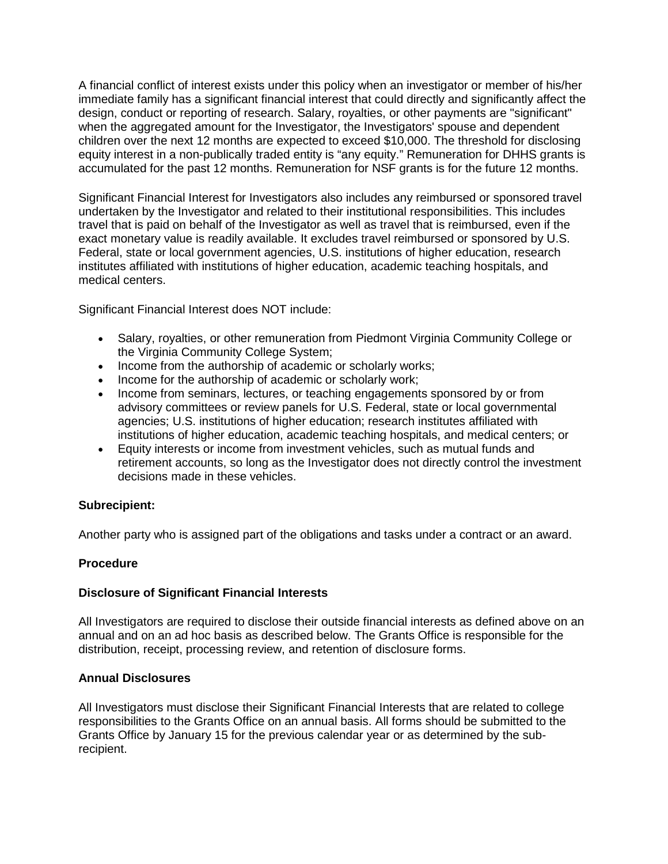A financial conflict of interest exists under this policy when an investigator or member of his/her immediate family has a significant financial interest that could directly and significantly affect the design, conduct or reporting of research. Salary, royalties, or other payments are "significant" when the aggregated amount for the Investigator, the Investigators' spouse and dependent children over the next 12 months are expected to exceed \$10,000. The threshold for disclosing equity interest in a non-publically traded entity is "any equity." Remuneration for DHHS grants is accumulated for the past 12 months. Remuneration for NSF grants is for the future 12 months.

Significant Financial Interest for Investigators also includes any reimbursed or sponsored travel undertaken by the Investigator and related to their institutional responsibilities. This includes travel that is paid on behalf of the Investigator as well as travel that is reimbursed, even if the exact monetary value is readily available. It excludes travel reimbursed or sponsored by U.S. Federal, state or local government agencies, U.S. institutions of higher education, research institutes affiliated with institutions of higher education, academic teaching hospitals, and medical centers.

Significant Financial Interest does NOT include:

- Salary, royalties, or other remuneration from Piedmont Virginia Community College or the Virginia Community College System;
- Income from the authorship of academic or scholarly works;
- Income for the authorship of academic or scholarly work:
- Income from seminars, lectures, or teaching engagements sponsored by or from advisory committees or review panels for U.S. Federal, state or local governmental agencies; U.S. institutions of higher education; research institutes affiliated with institutions of higher education, academic teaching hospitals, and medical centers; or
- Equity interests or income from investment vehicles, such as mutual funds and retirement accounts, so long as the Investigator does not directly control the investment decisions made in these vehicles.

#### **Subrecipient:**

Another party who is assigned part of the obligations and tasks under a contract or an award.

#### **Procedure**

#### **Disclosure of Significant Financial Interests**

All Investigators are required to disclose their outside financial interests as defined above on an annual and on an ad hoc basis as described below. The Grants Office is responsible for the distribution, receipt, processing review, and retention of disclosure forms.

#### **Annual Disclosures**

All Investigators must disclose their Significant Financial Interests that are related to college responsibilities to the Grants Office on an annual basis. All forms should be submitted to the Grants Office by January 15 for the previous calendar year or as determined by the subrecipient.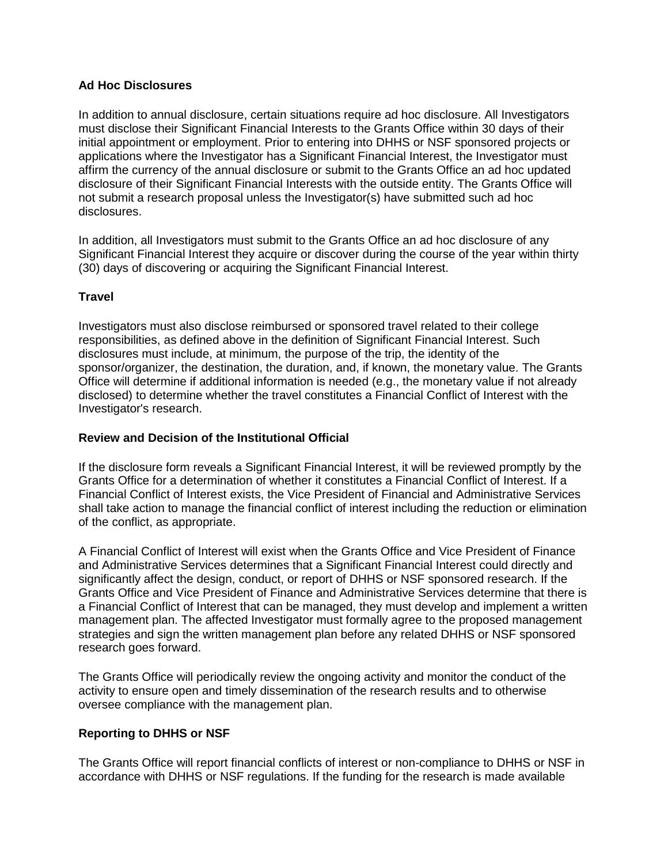### **Ad Hoc Disclosures**

In addition to annual disclosure, certain situations require ad hoc disclosure. All Investigators must disclose their Significant Financial Interests to the Grants Office within 30 days of their initial appointment or employment. Prior to entering into DHHS or NSF sponsored projects or applications where the Investigator has a Significant Financial Interest, the Investigator must affirm the currency of the annual disclosure or submit to the Grants Office an ad hoc updated disclosure of their Significant Financial Interests with the outside entity. The Grants Office will not submit a research proposal unless the Investigator(s) have submitted such ad hoc disclosures.

In addition, all Investigators must submit to the Grants Office an ad hoc disclosure of any Significant Financial Interest they acquire or discover during the course of the year within thirty (30) days of discovering or acquiring the Significant Financial Interest.

### **Travel**

Investigators must also disclose reimbursed or sponsored travel related to their college responsibilities, as defined above in the definition of Significant Financial Interest. Such disclosures must include, at minimum, the purpose of the trip, the identity of the sponsor/organizer, the destination, the duration, and, if known, the monetary value. The Grants Office will determine if additional information is needed (e.g., the monetary value if not already disclosed) to determine whether the travel constitutes a Financial Conflict of Interest with the Investigator's research.

#### **Review and Decision of the Institutional Official**

If the disclosure form reveals a Significant Financial Interest, it will be reviewed promptly by the Grants Office for a determination of whether it constitutes a Financial Conflict of Interest. If a Financial Conflict of Interest exists, the Vice President of Financial and Administrative Services shall take action to manage the financial conflict of interest including the reduction or elimination of the conflict, as appropriate.

A Financial Conflict of Interest will exist when the Grants Office and Vice President of Finance and Administrative Services determines that a Significant Financial Interest could directly and significantly affect the design, conduct, or report of DHHS or NSF sponsored research. If the Grants Office and Vice President of Finance and Administrative Services determine that there is a Financial Conflict of Interest that can be managed, they must develop and implement a written management plan. The affected Investigator must formally agree to the proposed management strategies and sign the written management plan before any related DHHS or NSF sponsored research goes forward.

The Grants Office will periodically review the ongoing activity and monitor the conduct of the activity to ensure open and timely dissemination of the research results and to otherwise oversee compliance with the management plan.

### **Reporting to DHHS or NSF**

The Grants Office will report financial conflicts of interest or non-compliance to DHHS or NSF in accordance with DHHS or NSF regulations. If the funding for the research is made available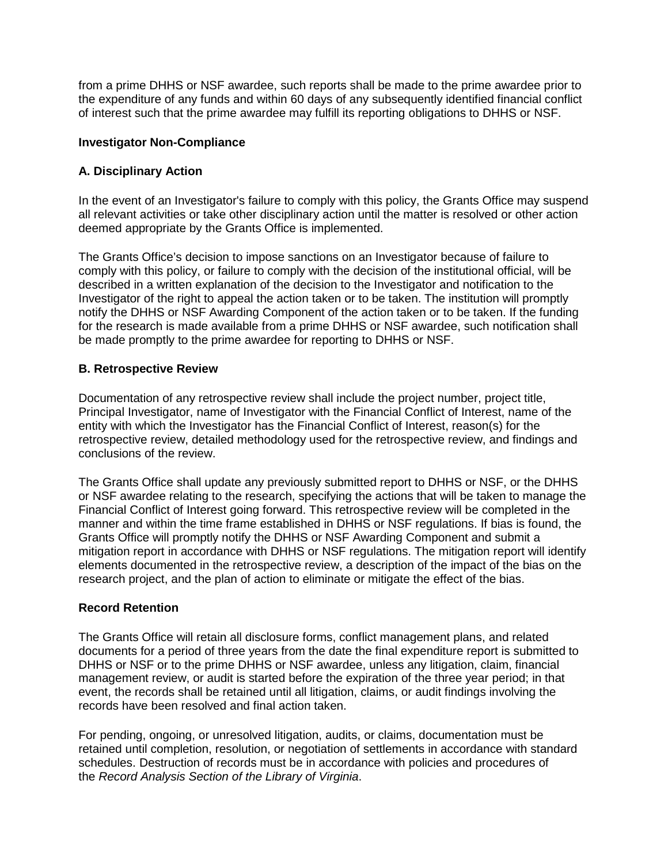from a prime DHHS or NSF awardee, such reports shall be made to the prime awardee prior to the expenditure of any funds and within 60 days of any subsequently identified financial conflict of interest such that the prime awardee may fulfill its reporting obligations to DHHS or NSF.

#### **Investigator Non-Compliance**

#### **A. Disciplinary Action**

In the event of an Investigator's failure to comply with this policy, the Grants Office may suspend all relevant activities or take other disciplinary action until the matter is resolved or other action deemed appropriate by the Grants Office is implemented.

The Grants Office's decision to impose sanctions on an Investigator because of failure to comply with this policy, or failure to comply with the decision of the institutional official, will be described in a written explanation of the decision to the Investigator and notification to the Investigator of the right to appeal the action taken or to be taken. The institution will promptly notify the DHHS or NSF Awarding Component of the action taken or to be taken. If the funding for the research is made available from a prime DHHS or NSF awardee, such notification shall be made promptly to the prime awardee for reporting to DHHS or NSF.

#### **B. Retrospective Review**

Documentation of any retrospective review shall include the project number, project title, Principal Investigator, name of Investigator with the Financial Conflict of Interest, name of the entity with which the Investigator has the Financial Conflict of Interest, reason(s) for the retrospective review, detailed methodology used for the retrospective review, and findings and conclusions of the review.

The Grants Office shall update any previously submitted report to DHHS or NSF, or the DHHS or NSF awardee relating to the research, specifying the actions that will be taken to manage the Financial Conflict of Interest going forward. This retrospective review will be completed in the manner and within the time frame established in DHHS or NSF regulations. If bias is found, the Grants Office will promptly notify the DHHS or NSF Awarding Component and submit a mitigation report in accordance with DHHS or NSF regulations. The mitigation report will identify elements documented in the retrospective review, a description of the impact of the bias on the research project, and the plan of action to eliminate or mitigate the effect of the bias.

#### **Record Retention**

The Grants Office will retain all disclosure forms, conflict management plans, and related documents for a period of three years from the date the final expenditure report is submitted to DHHS or NSF or to the prime DHHS or NSF awardee, unless any litigation, claim, financial management review, or audit is started before the expiration of the three year period; in that event, the records shall be retained until all litigation, claims, or audit findings involving the records have been resolved and final action taken.

For pending, ongoing, or unresolved litigation, audits, or claims, documentation must be retained until completion, resolution, or negotiation of settlements in accordance with standard schedules. Destruction of records must be in accordance with policies and procedures of the *Record Analysis Section of the Library of Virginia*.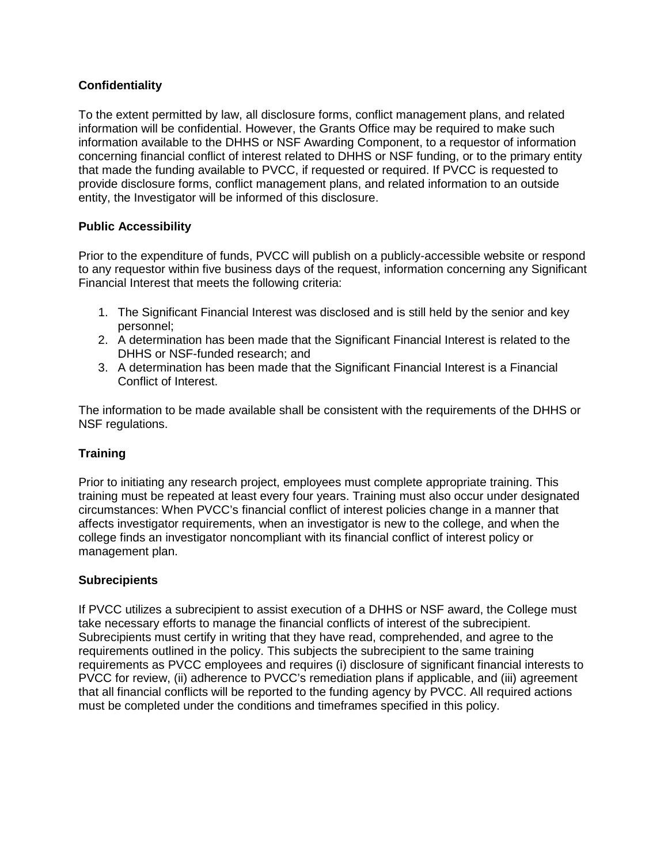## **Confidentiality**

To the extent permitted by law, all disclosure forms, conflict management plans, and related information will be confidential. However, the Grants Office may be required to make such information available to the DHHS or NSF Awarding Component, to a requestor of information concerning financial conflict of interest related to DHHS or NSF funding, or to the primary entity that made the funding available to PVCC, if requested or required. If PVCC is requested to provide disclosure forms, conflict management plans, and related information to an outside entity, the Investigator will be informed of this disclosure.

### **Public Accessibility**

Prior to the expenditure of funds, PVCC will publish on a publicly-accessible website or respond to any requestor within five business days of the request, information concerning any Significant Financial Interest that meets the following criteria:

- 1. The Significant Financial Interest was disclosed and is still held by the senior and key personnel;
- 2. A determination has been made that the Significant Financial Interest is related to the DHHS or NSF-funded research; and
- 3. A determination has been made that the Significant Financial Interest is a Financial Conflict of Interest.

The information to be made available shall be consistent with the requirements of the DHHS or NSF regulations.

### **Training**

Prior to initiating any research project, employees must complete appropriate training. This training must be repeated at least every four years. Training must also occur under designated circumstances: When PVCC's financial conflict of interest policies change in a manner that affects investigator requirements, when an investigator is new to the college, and when the college finds an investigator noncompliant with its financial conflict of interest policy or management plan.

### **Subrecipients**

If PVCC utilizes a subrecipient to assist execution of a DHHS or NSF award, the College must take necessary efforts to manage the financial conflicts of interest of the subrecipient. Subrecipients must certify in writing that they have read, comprehended, and agree to the requirements outlined in the policy. This subjects the subrecipient to the same training requirements as PVCC employees and requires (i) disclosure of significant financial interests to PVCC for review, (ii) adherence to PVCC's remediation plans if applicable, and (iii) agreement that all financial conflicts will be reported to the funding agency by PVCC. All required actions must be completed under the conditions and timeframes specified in this policy.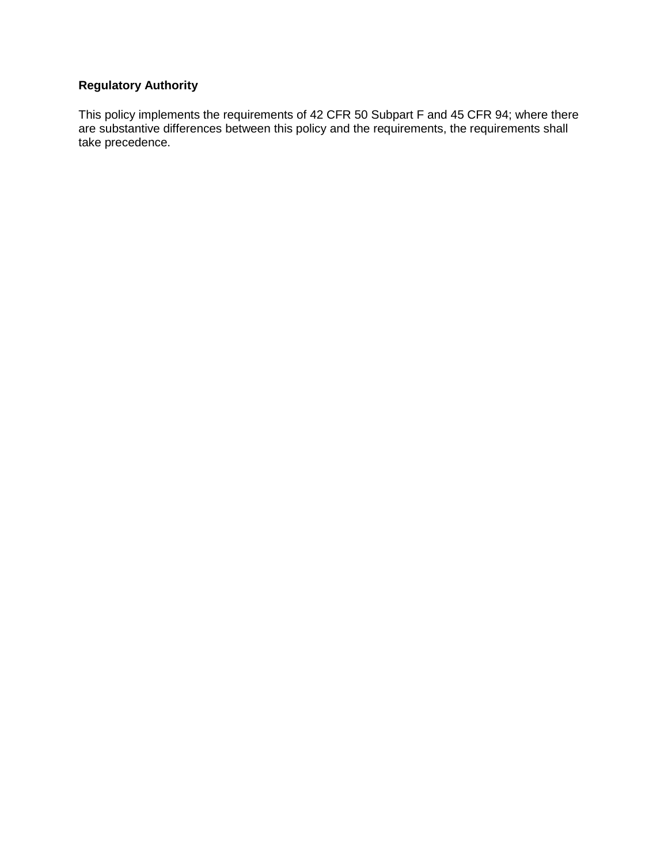# **Regulatory Authority**

This policy implements the requirements of 42 CFR 50 Subpart F and 45 CFR 94; where there are substantive differences between this policy and the requirements, the requirements shall take precedence.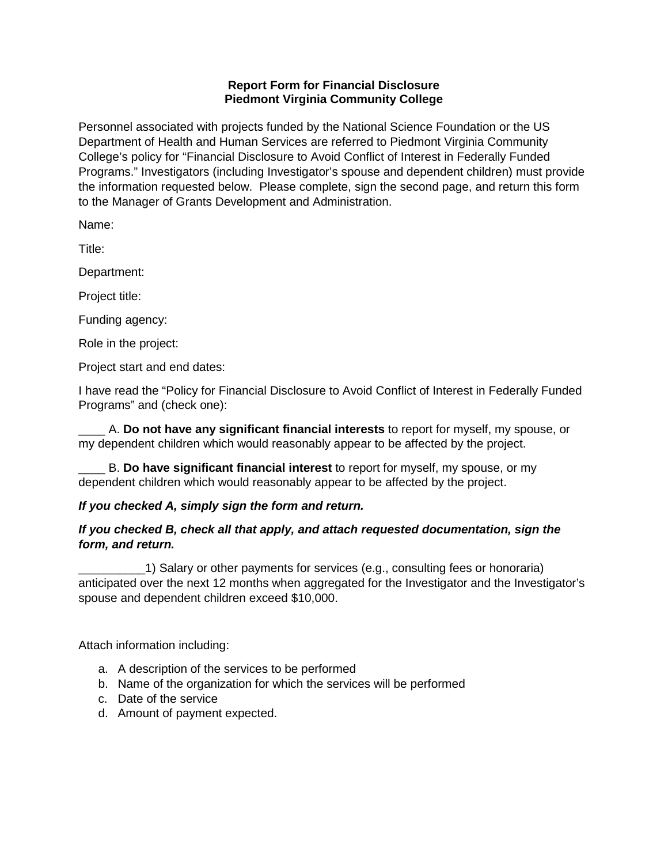### **Report Form for Financial Disclosure Piedmont Virginia Community College**

Personnel associated with projects funded by the National Science Foundation or the US Department of Health and Human Services are referred to Piedmont Virginia Community College's policy for "Financial Disclosure to Avoid Conflict of Interest in Federally Funded Programs." Investigators (including Investigator's spouse and dependent children) must provide the information requested below. Please complete, sign the second page, and return this form to the Manager of Grants Development and Administration.

Name:

Title:

Department:

Project title:

Funding agency:

Role in the project:

Project start and end dates:

I have read the "Policy for Financial Disclosure to Avoid Conflict of Interest in Federally Funded Programs" and (check one):

\_\_\_\_ A. **Do not have any significant financial interests** to report for myself, my spouse, or my dependent children which would reasonably appear to be affected by the project.

\_\_\_\_ B. **Do have significant financial interest** to report for myself, my spouse, or my dependent children which would reasonably appear to be affected by the project.

# *If you checked A, simply sign the form and return.*

# *If you checked B, check all that apply, and attach requested documentation, sign the form, and return.*

\_\_\_\_\_\_\_\_\_\_1) Salary or other payments for services (e.g., consulting fees or honoraria) anticipated over the next 12 months when aggregated for the Investigator and the Investigator's spouse and dependent children exceed \$10,000.

Attach information including:

- a. A description of the services to be performed
- b. Name of the organization for which the services will be performed
- c. Date of the service
- d. Amount of payment expected.